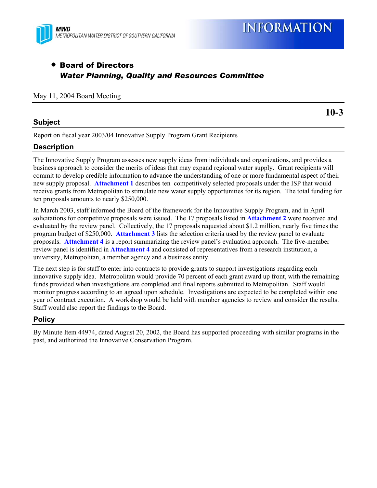

# • Board of Directors *Water Planning, Quality and Resources Committee*

#### May 11, 2004 Board Meeting

## **Subject**

**10-3** 

Report on fiscal year 2003/04 Innovative Supply Program Grant Recipients

# **Description**

The Innovative Supply Program assesses new supply ideas from individuals and organizations, and provides a business approach to consider the merits of ideas that may expand regional water supply. Grant recipients will commit to develop credible information to advance the understanding of one or more fundamental aspect of their new supply proposal. **Attachment 1** describes ten competitively selected proposals under the ISP that would receive grants from Metropolitan to stimulate new water supply opportunities for its region. The total funding for ten proposals amounts to nearly \$250,000.

In March 2003, staff informed the Board of the framework for the Innovative Supply Program, and in April solicitations for competitive proposals were issued. The 17 proposals listed in **Attachment 2** were received and evaluated by the review panel. Collectively, the 17 proposals requested about \$1.2 million, nearly five times the program budget of \$250,000. **Attachment 3** lists the selection criteria used by the review panel to evaluate proposals. **Attachment 4** is a report summarizing the review panel's evaluation approach. The five-member review panel is identified in **Attachment 4** and consisted of representatives from a research institution, a university, Metropolitan, a member agency and a business entity.

The next step is for staff to enter into contracts to provide grants to support investigations regarding each innovative supply idea. Metropolitan would provide 70 percent of each grant award up front, with the remaining funds provided when investigations are completed and final reports submitted to Metropolitan. Staff would monitor progress according to an agreed upon schedule. Investigations are expected to be completed within one year of contract execution. A workshop would be held with member agencies to review and consider the results. Staff would also report the findings to the Board.

## **Policy**

By Minute Item 44974, dated August 20, 2002, the Board has supported proceeding with similar programs in the past, and authorized the Innovative Conservation Program.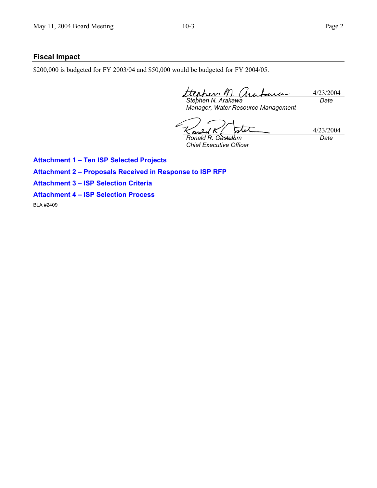## **Fiscal Impact**

\$200,000 is budgeted for FY 2003/04 and \$50,000 would be budgeted for FY 2004/05.

4/23/2004 *Stephen N. Arakawa Date* 

*Manager, Water Resource Management* 

4/23/2004 *Ronald R. Gastelum Date* 

*Chief Executive Officer* 

**Attachment 1 – Ten ISP Selected Projects** 

**Attachment 2 – Proposals Received in Response to ISP RFP** 

**Attachment 3 – ISP Selection Criteria** 

**Attachment 4 – ISP Selection Process** 

BLA #2409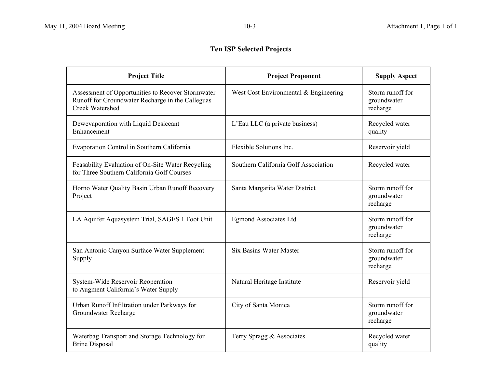# **Ten ISP Selected Projects**

| <b>Project Title</b>                                                                                                            | <b>Project Proponent</b>              | <b>Supply Aspect</b>                        |
|---------------------------------------------------------------------------------------------------------------------------------|---------------------------------------|---------------------------------------------|
| Assessment of Opportunities to Recover Stormwater<br>Runoff for Groundwater Recharge in the Calleguas<br><b>Creek Watershed</b> | West Cost Environmental & Engineering | Storm runoff for<br>groundwater<br>recharge |
| Dewevaporation with Liquid Desiccant<br>Enhancement                                                                             | L'Eau LLC (a private business)        | Recycled water<br>quality                   |
| Evaporation Control in Southern California                                                                                      | Flexible Solutions Inc.               | Reservoir yield                             |
| Feasability Evaluation of On-Site Water Recycling<br>for Three Southern California Golf Courses                                 | Southern California Golf Association  | Recycled water                              |
| Horno Water Quality Basin Urban Runoff Recovery<br>Project                                                                      | Santa Margarita Water District        | Storm runoff for<br>groundwater<br>recharge |
| LA Aquifer Aquasystem Trial, SAGES 1 Foot Unit                                                                                  | <b>Egmond Associates Ltd</b>          | Storm runoff for<br>groundwater<br>recharge |
| San Antonio Canyon Surface Water Supplement<br>Supply                                                                           | <b>Six Basins Water Master</b>        | Storm runoff for<br>groundwater<br>recharge |
| System-Wide Reservoir Reoperation<br>to Augment California's Water Supply                                                       | Natural Heritage Institute            | Reservoir yield                             |
| Urban Runoff Infiltration under Parkways for<br>Groundwater Recharge                                                            | City of Santa Monica                  | Storm runoff for<br>groundwater<br>recharge |
| Waterbag Transport and Storage Technology for<br><b>Brine Disposal</b>                                                          | Terry Spragg & Associates             | Recycled water<br>quality                   |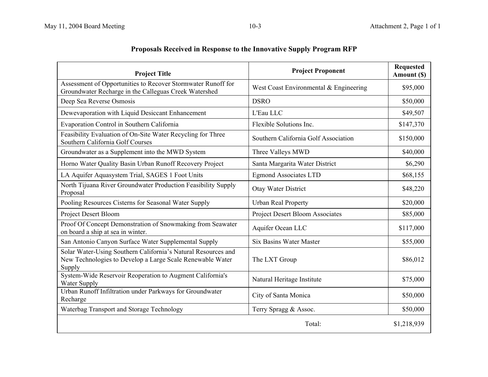| <b>Project Title</b>                                                                                                                 | <b>Project Proponent</b>               | <b>Requested</b><br>Amount (\$) |
|--------------------------------------------------------------------------------------------------------------------------------------|----------------------------------------|---------------------------------|
| Assessment of Opportunities to Recover Stormwater Runoff for<br>Groundwater Recharge in the Calleguas Creek Watershed                | West Coast Environmental & Engineering | \$95,000                        |
| Deep Sea Reverse Osmosis                                                                                                             | <b>DSRO</b>                            | \$50,000                        |
| Dewevaporation with Liquid Desiccant Enhancement                                                                                     | L'Eau LLC                              | \$49,507                        |
| Evaporation Control in Southern California                                                                                           | Flexible Solutions Inc.                | \$147,370                       |
| Feasibility Evaluation of On-Site Water Recycling for Three<br>Southern California Golf Courses                                      | Southern California Golf Association   | \$150,000                       |
| Groundwater as a Supplement into the MWD System                                                                                      | Three Valleys MWD                      | \$40,000                        |
| Horno Water Quality Basin Urban Runoff Recovery Project                                                                              | Santa Margarita Water District         | \$6,290                         |
| LA Aquifer Aquasystem Trial, SAGES 1 Foot Units                                                                                      | <b>Egmond Associates LTD</b>           | \$68,155                        |
| North Tijuana River Groundwater Production Feasibility Supply<br>Proposal                                                            | Otay Water District                    | \$48,220                        |
| Pooling Resources Cisterns for Seasonal Water Supply                                                                                 | <b>Urban Real Property</b>             | \$20,000                        |
| Project Desert Bloom                                                                                                                 | Project Desert Bloom Associates        | \$85,000                        |
| Proof Of Concept Demonstration of Snowmaking from Seawater<br>on board a ship at sea in winter.                                      | Aquifer Ocean LLC                      | \$117,000                       |
| San Antonio Canyon Surface Water Supplemental Supply                                                                                 | <b>Six Basins Water Master</b>         | \$55,000                        |
| Solar Water-Using Southern California's Natural Resources and<br>New Technologies to Develop a Large Scale Renewable Water<br>Supply | The LXT Group                          | \$86,012                        |
| System-Wide Reservoir Reoperation to Augment California's<br>Water Supply                                                            | Natural Heritage Institute             | \$75,000                        |
| Urban Runoff Infiltration under Parkways for Groundwater<br>Recharge                                                                 | City of Santa Monica                   | \$50,000                        |
| Waterbag Transport and Storage Technology                                                                                            | Terry Spragg & Assoc.                  | \$50,000                        |
|                                                                                                                                      | Total:                                 | \$1,218,939                     |

# **Proposals Received in Response to the Innovative Supply Program RFP**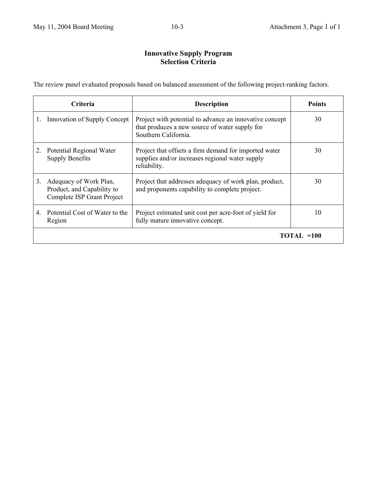# **Innovative Supply Program Selection Criteria**

The review panel evaluated proposals based on balanced assessment of the following project-ranking factors.

|    | <b>Criteria</b>                                                                    | <b>Description</b>                                                                                                                | <b>Points</b> |
|----|------------------------------------------------------------------------------------|-----------------------------------------------------------------------------------------------------------------------------------|---------------|
|    | Innovation of Supply Concept                                                       | Project with potential to advance an innovative concept<br>that produces a new source of water supply for<br>Southern California. | 30            |
|    | Potential Regional Water<br><b>Supply Benefits</b>                                 | Project that offsets a firm demand for imported water<br>supplies and/or increases regional water supply<br>reliability.          | 30            |
| 3. | Adequacy of Work Plan,<br>Product, and Capability to<br>Complete ISP Grant Project | Project that addresses adequacy of work plan, product,<br>and proponents capability to complete project.                          | 30            |
| 4  | Potential Cost of Water to the<br>Region                                           | Project estimated unit cost per acre-foot of yield for<br>fully mature innovative concept.                                        | 10            |
|    | TOTAL =100                                                                         |                                                                                                                                   |               |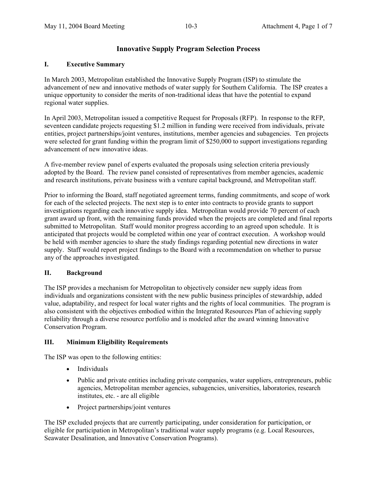### **Innovative Supply Program Selection Process**

#### **I. Executive Summary**

In March 2003, Metropolitan established the Innovative Supply Program (ISP) to stimulate the advancement of new and innovative methods of water supply for Southern California. The ISP creates a unique opportunity to consider the merits of non-traditional ideas that have the potential to expand regional water supplies.

In April 2003, Metropolitan issued a competitive Request for Proposals (RFP). In response to the RFP, seventeen candidate projects requesting \$1.2 million in funding were received from individuals, private entities, project partnerships/joint ventures, institutions, member agencies and subagencies. Ten projects were selected for grant funding within the program limit of \$250,000 to support investigations regarding advancement of new innovative ideas.

A five-member review panel of experts evaluated the proposals using selection criteria previously adopted by the Board. The review panel consisted of representatives from member agencies, academic and research institutions, private business with a venture capital background, and Metropolitan staff.

Prior to informing the Board, staff negotiated agreement terms, funding commitments, and scope of work for each of the selected projects. The next step is to enter into contracts to provide grants to support investigations regarding each innovative supply idea. Metropolitan would provide 70 percent of each grant award up front, with the remaining funds provided when the projects are completed and final reports submitted to Metropolitan. Staff would monitor progress according to an agreed upon schedule. It is anticipated that projects would be completed within one year of contract execution. A workshop would be held with member agencies to share the study findings regarding potential new directions in water supply. Staff would report project findings to the Board with a recommendation on whether to pursue any of the approaches investigated.

#### **II. Background**

The ISP provides a mechanism for Metropolitan to objectively consider new supply ideas from individuals and organizations consistent with the new public business principles of stewardship, added value, adaptability, and respect for local water rights and the rights of local communities. The program is also consistent with the objectives embodied within the Integrated Resources Plan of achieving supply reliability through a diverse resource portfolio and is modeled after the award winning Innovative Conservation Program.

#### **III. Minimum Eligibility Requirements**

The ISP was open to the following entities:

- Individuals
- Public and private entities including private companies, water suppliers, entrepreneurs, public agencies, Metropolitan member agencies, subagencies, universities, laboratories, research institutes, etc. - are all eligible
- Project partnerships/joint ventures

The ISP excluded projects that are currently participating, under consideration for participation, or eligible for participation in Metropolitan's traditional water supply programs (e.g. Local Resources, Seawater Desalination, and Innovative Conservation Programs).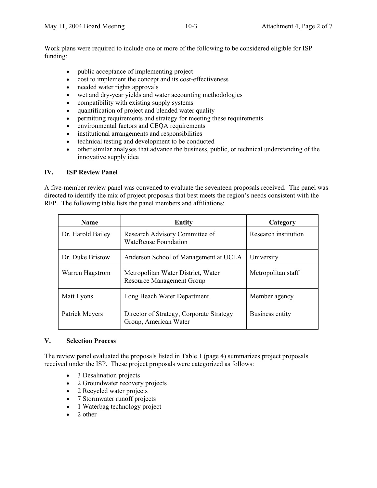Work plans were required to include one or more of the following to be considered eligible for ISP funding:

- public acceptance of implementing project
- cost to implement the concept and its cost-effectiveness
- needed water rights approvals
- wet and dry-year yields and water accounting methodologies
- compatibility with existing supply systems
- quantification of project and blended water quality
- permitting requirements and strategy for meeting these requirements
- environmental factors and CEQA requirements
- institutional arrangements and responsibilities
- technical testing and development to be conducted
- other similar analyses that advance the business, public, or technical understanding of the innovative supply idea

#### **IV. ISP Review Panel**

A five-member review panel was convened to evaluate the seventeen proposals received. The panel was directed to identify the mix of project proposals that best meets the region's needs consistent with the RFP. The following table lists the panel members and affiliations:

| <b>Name</b>       | Entity                                                                 | Category             |  |
|-------------------|------------------------------------------------------------------------|----------------------|--|
| Dr. Harold Bailey | Research Advisory Committee of<br><b>WateReuse Foundation</b>          | Research institution |  |
| Dr. Duke Bristow  | Anderson School of Management at UCLA                                  | University           |  |
| Warren Hagstrom   | Metropolitan Water District, Water<br><b>Resource Management Group</b> | Metropolitan staff   |  |
| Matt Lyons        | Long Beach Water Department                                            | Member agency        |  |
| Patrick Meyers    | Director of Strategy, Corporate Strategy<br>Group, American Water      | Business entity      |  |

#### **V. Selection Process**

The review panel evaluated the proposals listed in Table 1 (page 4) summarizes project proposals received under the ISP. These project proposals were categorized as follows:

- 3 Desalination projects
- 2 Groundwater recovery projects
- 2 Recycled water projects
- 7 Stormwater runoff projects
- 1 Waterbag technology project
- 2 other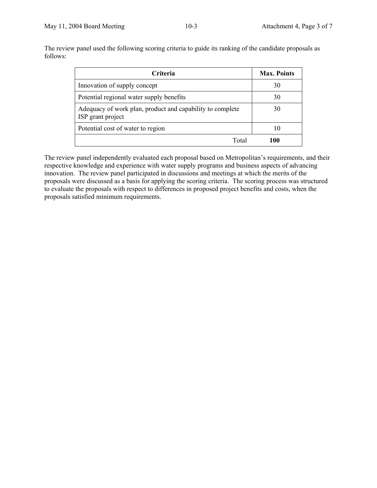The review panel used the following scoring criteria to guide its ranking of the candidate proposals as follows:

| Criteria                                                                       | <b>Max. Points</b> |
|--------------------------------------------------------------------------------|--------------------|
| Innovation of supply concept                                                   | 30                 |
| Potential regional water supply benefits                                       | 30                 |
| Adequacy of work plan, product and capability to complete<br>ISP grant project | 30                 |
| Potential cost of water to region                                              | 10                 |
| Total                                                                          | 100                |

The review panel independently evaluated each proposal based on Metropolitan's requirements, and their respective knowledge and experience with water supply programs and business aspects of advancing innovation. The review panel participated in discussions and meetings at which the merits of the proposals were discussed as a basis for applying the scoring criteria. The scoring process was structured to evaluate the proposals with respect to differences in proposed project benefits and costs, when the proposals satisfied minimum requirements.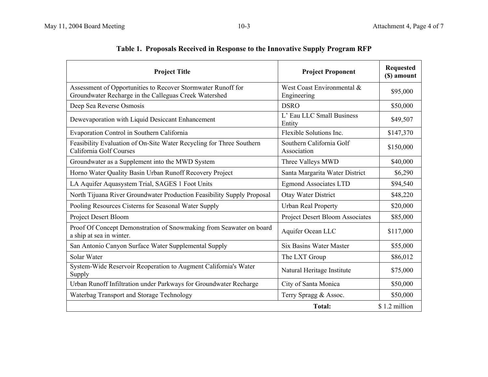| <b>Project Title</b>                                                                                                  | <b>Project Proponent</b>                  | <b>Requested</b><br>(\$) amount |
|-----------------------------------------------------------------------------------------------------------------------|-------------------------------------------|---------------------------------|
| Assessment of Opportunities to Recover Stormwater Runoff for<br>Groundwater Recharge in the Calleguas Creek Watershed | West Coast Environmental &<br>Engineering | \$95,000                        |
| Deep Sea Reverse Osmosis                                                                                              | <b>DSRO</b>                               | \$50,000                        |
| Dewevaporation with Liquid Desiccant Enhancement                                                                      | L' Eau LLC Small Business<br>Entity       | \$49,507                        |
| Evaporation Control in Southern California                                                                            | Flexible Solutions Inc.                   | \$147,370                       |
| Feasibility Evaluation of On-Site Water Recycling for Three Southern<br>California Golf Courses                       | Southern California Golf<br>Association   | \$150,000                       |
| Groundwater as a Supplement into the MWD System                                                                       | Three Valleys MWD                         | \$40,000                        |
| Horno Water Quality Basin Urban Runoff Recovery Project                                                               | Santa Margarita Water District            | \$6,290                         |
| LA Aquifer Aquasystem Trial, SAGES 1 Foot Units                                                                       | <b>Egmond Associates LTD</b>              | \$94,540                        |
| North Tijuana River Groundwater Production Feasibility Supply Proposal                                                | Otay Water District                       | \$48,220                        |
| Pooling Resources Cisterns for Seasonal Water Supply                                                                  | <b>Urban Real Property</b>                | \$20,000                        |
| <b>Project Desert Bloom</b>                                                                                           | <b>Project Desert Bloom Associates</b>    | \$85,000                        |
| Proof Of Concept Demonstration of Snowmaking from Seawater on board<br>a ship at sea in winter.                       | Aquifer Ocean LLC                         | \$117,000                       |
| San Antonio Canyon Surface Water Supplemental Supply                                                                  | <b>Six Basins Water Master</b>            | \$55,000                        |
| Solar Water                                                                                                           | The LXT Group                             | \$86,012                        |
| System-Wide Reservoir Reoperation to Augment California's Water<br>Supply                                             | Natural Heritage Institute                | \$75,000                        |
| Urban Runoff Infiltration under Parkways for Groundwater Recharge                                                     | City of Santa Monica                      | \$50,000                        |
| Waterbag Transport and Storage Technology                                                                             | Terry Spragg & Assoc.                     | \$50,000                        |
|                                                                                                                       | Total:                                    | \$1.2 million                   |

# **Table 1. Proposals Received in Response to the Innovative Supply Program RFP**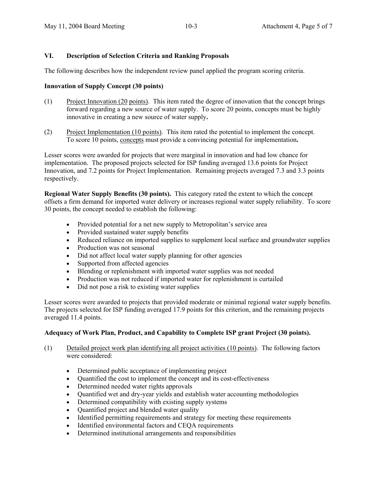#### **VI. Description of Selection Criteria and Ranking Proposals**

The following describes how the independent review panel applied the program scoring criteria.

#### **Innovation of Supply Concept (30 points)**

- (1) Project Innovation (20 points). This item rated the degree of innovation that the concept brings forward regarding a new source of water supply. To score 20 points, concepts must be highly innovative in creating a new source of water supply**.**
- (2) Project Implementation (10 points). This item rated the potential to implement the concept. To score 10 points, concepts must provide a convincing potential for implementation**.**

Lesser scores were awarded for projects that were marginal in innovation and had low chance for implementation. The proposed projects selected for ISP funding averaged 13.6 points for Project Innovation, and 7.2 points for Project Implementation. Remaining projects averaged 7.3 and 3.3 points respectively.

**Regional Water Supply Benefits (30 points).** This category rated the extent to which the concept offsets a firm demand for imported water delivery or increases regional water supply reliability. To score 30 points, the concept needed to establish the following:

- Provided potential for a net new supply to Metropolitan's service area
- Provided sustained water supply benefits
- Reduced reliance on imported supplies to supplement local surface and groundwater supplies
- Production was not seasonal
- Did not affect local water supply planning for other agencies
- Supported from affected agencies
- Blending or replenishment with imported water supplies was not needed
- Production was not reduced if imported water for replenishment is curtailed
- Did not pose a risk to existing water supplies

Lesser scores were awarded to projects that provided moderate or minimal regional water supply benefits. The projects selected for ISP funding averaged 17.9 points for this criterion, and the remaining projects averaged 11.4 points.

#### **Adequacy of Work Plan, Product, and Capability to Complete ISP grant Project (30 points).**

- (1) Detailed project work plan identifying all project activities (10 points). The following factors were considered:
	- Determined public acceptance of implementing project
	- Ouantified the cost to implement the concept and its cost-effectiveness
	- Determined needed water rights approvals
	- Quantified wet and dry-year yields and establish water accounting methodologies
	- Determined compatibility with existing supply systems
	- Quantified project and blended water quality
	- Identified permitting requirements and strategy for meeting these requirements
	- Identified environmental factors and CEQA requirements
	- Determined institutional arrangements and responsibilities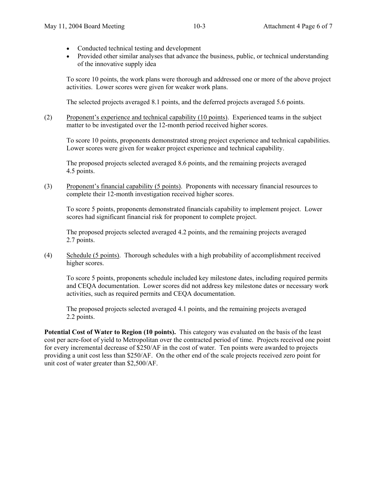- Conducted technical testing and development
- Provided other similar analyses that advance the business, public, or technical understanding of the innovative supply idea

To score 10 points, the work plans were thorough and addressed one or more of the above project activities. Lower scores were given for weaker work plans.

The selected projects averaged 8.1 points, and the deferred projects averaged 5.6 points.

(2) Proponent's experience and technical capability (10 points). Experienced teams in the subject matter to be investigated over the 12-month period received higher scores.

To score 10 points, proponents demonstrated strong project experience and technical capabilities. Lower scores were given for weaker project experience and technical capability.

The proposed projects selected averaged 8.6 points, and the remaining projects averaged 4.5 points.

(3) Proponent's financial capability (5 points). Proponents with necessary financial resources to complete their 12-month investigation received higher scores.

To score 5 points, proponents demonstrated financials capability to implement project. Lower scores had significant financial risk for proponent to complete project.

The proposed projects selected averaged 4.2 points, and the remaining projects averaged 2.7 points.

(4) Schedule (5 points). Thorough schedules with a high probability of accomplishment received higher scores.

To score 5 points, proponents schedule included key milestone dates, including required permits and CEQA documentation. Lower scores did not address key milestone dates or necessary work activities, such as required permits and CEQA documentation.

The proposed projects selected averaged 4.1 points, and the remaining projects averaged 2.2 points.

Potential Cost of Water to Region (10 points). This category was evaluated on the basis of the least cost per acre-foot of yield to Metropolitan over the contracted period of time. Projects received one point for every incremental decrease of \$250/AF in the cost of water. Ten points were awarded to projects providing a unit cost less than \$250/AF. On the other end of the scale projects received zero point for unit cost of water greater than \$2,500/AF.